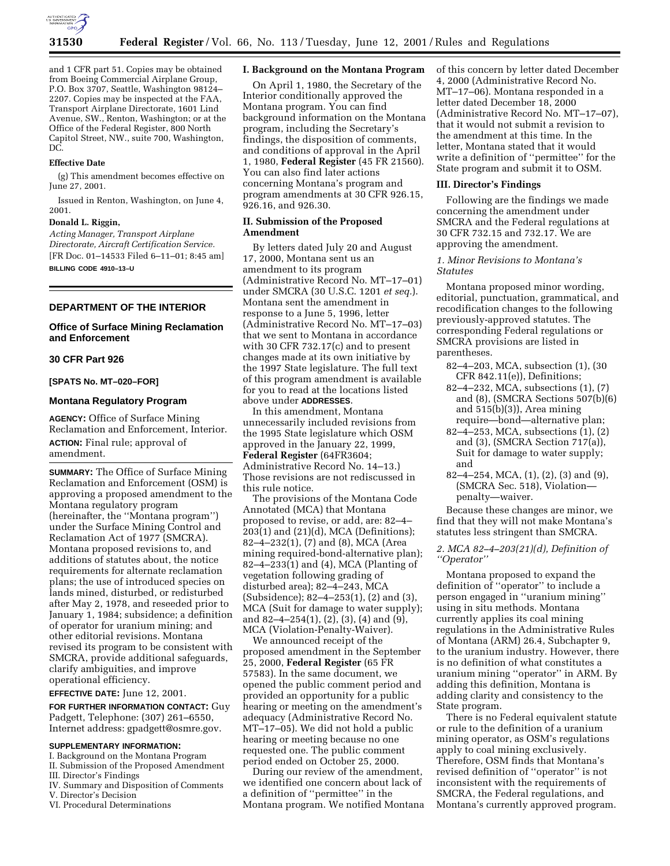

and 1 CFR part 51. Copies may be obtained from Boeing Commercial Airplane Group, P.O. Box 3707, Seattle, Washington 98124– 2207. Copies may be inspected at the FAA, Transport Airplane Directorate, 1601 Lind Avenue, SW., Renton, Washington; or at the Office of the Federal Register, 800 North Capitol Street, NW., suite 700, Washington, DC.

#### **Effective Date**

(g) This amendment becomes effective on June 27, 2001.

Issued in Renton, Washington, on June 4, 2001.

#### **Donald L. Riggin,**

*Acting Manager, Transport Airplane Directorate, Aircraft Certification Service.* [FR Doc. 01–14533 Filed 6–11–01; 8:45 am] **BILLING CODE 4910–13–U**

# **DEPARTMENT OF THE INTERIOR**

## **Office of Surface Mining Reclamation and Enforcement**

#### **30 CFR Part 926**

### **[SPATS No. MT–020–FOR]**

## **Montana Regulatory Program**

**AGENCY:** Office of Surface Mining Reclamation and Enforcement, Interior. **ACTION:** Final rule; approval of amendment.

**SUMMARY:** The Office of Surface Mining Reclamation and Enforcement (OSM) is approving a proposed amendment to the Montana regulatory program (hereinafter, the ''Montana program'') under the Surface Mining Control and Reclamation Act of 1977 (SMCRA). Montana proposed revisions to, and additions of statutes about, the notice requirements for alternate reclamation plans; the use of introduced species on lands mined, disturbed, or redisturbed after May 2, 1978, and reseeded prior to January 1, 1984; subsidence; a definition of operator for uranium mining; and other editorial revisions. Montana revised its program to be consistent with SMCRA, provide additional safeguards, clarify ambiguities, and improve operational efficiency.

**EFFECTIVE DATE:** June 12, 2001.

**FOR FURTHER INFORMATION CONTACT:** Guy Padgett, Telephone: (307) 261–6550, Internet address: gpadgett@osmre.gov.

## **SUPPLEMENTARY INFORMATION:**

- I. Background on the Montana Program II. Submission of the Proposed Amendment
- III. Director's Findings
- IV. Summary and Disposition of Comments
- V. Director's Decision
- VI. Procedural Determinations

### **I. Background on the Montana Program**

On April 1, 1980, the Secretary of the Interior conditionally approved the Montana program. You can find background information on the Montana program, including the Secretary's findings, the disposition of comments, and conditions of approval in the April 1, 1980, **Federal Register** (45 FR 21560). You can also find later actions concerning Montana's program and program amendments at 30 CFR 926.15, 926.16, and 926.30.

## **II. Submission of the Proposed Amendment**

By letters dated July 20 and August 17, 2000, Montana sent us an amendment to its program (Administrative Record No. MT–17–01) under SMCRA (30 U.S.C. 1201 *et seq.*). Montana sent the amendment in response to a June 5, 1996, letter (Administrative Record No. MT–17–03) that we sent to Montana in accordance with 30 CFR 732.17(c) and to present changes made at its own initiative by the 1997 State legislature. The full text of this program amendment is available for you to read at the locations listed above under **ADDRESSES**.

In this amendment, Montana unnecessarily included revisions from the 1995 State legislature which OSM approved in the January 22, 1999, **Federal Register** (64FR3604; Administrative Record No. 14–13.) Those revisions are not rediscussed in this rule notice.

The provisions of the Montana Code Annotated (MCA) that Montana proposed to revise, or add, are: 82–4– 203(1) and (21)(d), MCA (Definitions); 82–4–232(1), (7) and (8), MCA (Area mining required-bond-alternative plan); 82–4–233(1) and (4), MCA (Planting of vegetation following grading of disturbed area); 82–4–243, MCA (Subsidence); 82–4–253(1), (2) and (3), MCA (Suit for damage to water supply); and 82–4–254(1), (2), (3), (4) and (9), MCA (Violation-Penalty-Waiver).

We announced receipt of the proposed amendment in the September 25, 2000, **Federal Register** (65 FR 57583). In the same document, we opened the public comment period and provided an opportunity for a public hearing or meeting on the amendment's adequacy (Administrative Record No. MT–17–05). We did not hold a public hearing or meeting because no one requested one. The public comment period ended on October 25, 2000.

During our review of the amendment, we identified one concern about lack of a definition of ''permittee'' in the Montana program. We notified Montana of this concern by letter dated December 4, 2000 (Administrative Record No. MT–17–06). Montana responded in a letter dated December 18, 2000 (Administrative Record No. MT–17–07), that it would not submit a revision to the amendment at this time. In the letter, Montana stated that it would write a definition of ''permittee'' for the State program and submit it to OSM.

### **III. Director's Findings**

Following are the findings we made concerning the amendment under SMCRA and the Federal regulations at 30 CFR 732.15 and 732.17. We are approving the amendment.

## *1. Minor Revisions to Montana's Statutes*

Montana proposed minor wording, editorial, punctuation, grammatical, and recodification changes to the following previously-approved statutes. The corresponding Federal regulations or SMCRA provisions are listed in parentheses.

- 82–4–203, MCA, subsection (1), (30 CFR 842.11(e)), Definitions;
- 82–4–232, MCA, subsections (1), (7) and (8), (SMCRA Sections 507(b)(6) and  $515(b)(3)$ , Area mining require—bond—alternative plan;
- 82–4–253, MCA, subsections (1), (2) and (3), (SMCRA Section 717(a)), Suit for damage to water supply; and
- 82–4–254, MCA, (1), (2), (3) and (9), (SMCRA Sec. 518), Violation penalty—waiver.

Because these changes are minor, we find that they will not make Montana's statutes less stringent than SMCRA.

# *2. MCA 82–4–203(21)(d), Definition of ''Operator''*

Montana proposed to expand the definition of ''operator'' to include a person engaged in ''uranium mining'' using in situ methods. Montana currently applies its coal mining regulations in the Administrative Rules of Montana (ARM) 26.4, Subchapter 9, to the uranium industry. However, there is no definition of what constitutes a uranium mining ''operator'' in ARM. By adding this definition, Montana is adding clarity and consistency to the State program.

There is no Federal equivalent statute or rule to the definition of a uranium mining operator, as OSM's regulations apply to coal mining exclusively. Therefore, OSM finds that Montana's revised definition of ''operator'' is not inconsistent with the requirements of SMCRA, the Federal regulations, and Montana's currently approved program.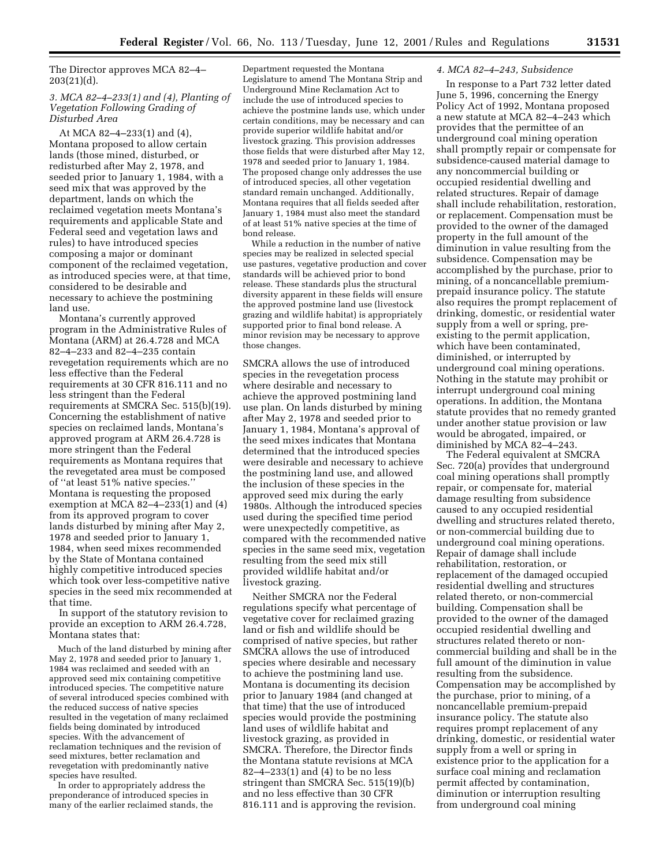The Director approves MCA 82–4–  $203(21)(d)$ .

## *3. MCA 82–4–233(1) and (4), Planting of Vegetation Following Grading of Disturbed Area*

At MCA 82–4–233(1) and (4), Montana proposed to allow certain lands (those mined, disturbed, or redisturbed after May 2, 1978, and seeded prior to January 1, 1984, with a seed mix that was approved by the department, lands on which the reclaimed vegetation meets Montana's requirements and applicable State and Federal seed and vegetation laws and rules) to have introduced species composing a major or dominant component of the reclaimed vegetation, as introduced species were, at that time, considered to be desirable and necessary to achieve the postmining land use.

Montana's currently approved program in the Administrative Rules of Montana (ARM) at 26.4.728 and MCA 82–4–233 and 82–4–235 contain revegetation requirements which are no less effective than the Federal requirements at 30 CFR 816.111 and no less stringent than the Federal requirements at SMCRA Sec. 515(b)(19). Concerning the establishment of native species on reclaimed lands, Montana's approved program at ARM 26.4.728 is more stringent than the Federal requirements as Montana requires that the revegetated area must be composed of ''at least 51% native species.'' Montana is requesting the proposed exemption at MCA  $82-4-233(1)$  and  $(4)$ from its approved program to cover lands disturbed by mining after May 2, 1978 and seeded prior to January 1, 1984, when seed mixes recommended by the State of Montana contained highly competitive introduced species which took over less-competitive native species in the seed mix recommended at that time.

In support of the statutory revision to provide an exception to ARM 26.4.728, Montana states that:

Much of the land disturbed by mining after May 2, 1978 and seeded prior to January 1, 1984 was reclaimed and seeded with an approved seed mix containing competitive introduced species. The competitive nature of several introduced species combined with the reduced success of native species resulted in the vegetation of many reclaimed fields being dominated by introduced species. With the advancement of reclamation techniques and the revision of seed mixtures, better reclamation and revegetation with predominantly native species have resulted.

In order to appropriately address the preponderance of introduced species in many of the earlier reclaimed stands, the

Department requested the Montana Legislature to amend The Montana Strip and Underground Mine Reclamation Act to include the use of introduced species to achieve the postmine lands use, which under certain conditions, may be necessary and can provide superior wildlife habitat and/or livestock grazing. This provision addresses those fields that were disturbed after May 12, 1978 and seeded prior to January 1, 1984. The proposed change only addresses the use of introduced species, all other vegetation standard remain unchanged. Additionally, Montana requires that all fields seeded after January 1, 1984 must also meet the standard of at least 51% native species at the time of bond release.

While a reduction in the number of native species may be realized in selected special use pastures, vegetative production and cover standards will be achieved prior to bond release. These standards plus the structural diversity apparent in these fields will ensure the approved postmine land use (livestock grazing and wildlife habitat) is appropriately supported prior to final bond release. A minor revision may be necessary to approve those changes.

SMCRA allows the use of introduced species in the revegetation process where desirable and necessary to achieve the approved postmining land use plan. On lands disturbed by mining after May 2, 1978 and seeded prior to January 1, 1984, Montana's approval of the seed mixes indicates that Montana determined that the introduced species were desirable and necessary to achieve the postmining land use, and allowed the inclusion of these species in the approved seed mix during the early 1980s. Although the introduced species used during the specified time period were unexpectedly competitive, as compared with the recommended native species in the same seed mix, vegetation resulting from the seed mix still provided wildlife habitat and/or livestock grazing.

Neither SMCRA nor the Federal regulations specify what percentage of vegetative cover for reclaimed grazing land or fish and wildlife should be comprised of native species, but rather SMCRA allows the use of introduced species where desirable and necessary to achieve the postmining land use. Montana is documenting its decision prior to January 1984 (and changed at that time) that the use of introduced species would provide the postmining land uses of wildlife habitat and livestock grazing, as provided in SMCRA. Therefore, the Director finds the Montana statute revisions at MCA 82–4–233(1) and (4) to be no less stringent than SMCRA Sec. 515(19)(b) and no less effective than 30 CFR 816.111 and is approving the revision.

### *4. MCA 82–4–243, Subsidence*

In response to a Part 732 letter dated June 5, 1996, concerning the Energy Policy Act of 1992, Montana proposed a new statute at MCA 82–4–243 which provides that the permittee of an underground coal mining operation shall promptly repair or compensate for subsidence-caused material damage to any noncommercial building or occupied residential dwelling and related structures. Repair of damage shall include rehabilitation, restoration, or replacement. Compensation must be provided to the owner of the damaged property in the full amount of the diminution in value resulting from the subsidence. Compensation may be accomplished by the purchase, prior to mining, of a noncancellable premiumprepaid insurance policy. The statute also requires the prompt replacement of drinking, domestic, or residential water supply from a well or spring, preexisting to the permit application, which have been contaminated, diminished, or interrupted by underground coal mining operations. Nothing in the statute may prohibit or interrupt underground coal mining operations. In addition, the Montana statute provides that no remedy granted under another statue provision or law would be abrogated, impaired, or diminished by MCA 82–4–243.

The Federal equivalent at SMCRA Sec. 720(a) provides that underground coal mining operations shall promptly repair, or compensate for, material damage resulting from subsidence caused to any occupied residential dwelling and structures related thereto, or non-commercial building due to underground coal mining operations. Repair of damage shall include rehabilitation, restoration, or replacement of the damaged occupied residential dwelling and structures related thereto, or non-commercial building. Compensation shall be provided to the owner of the damaged occupied residential dwelling and structures related thereto or noncommercial building and shall be in the full amount of the diminution in value resulting from the subsidence. Compensation may be accomplished by the purchase, prior to mining, of a noncancellable premium-prepaid insurance policy. The statute also requires prompt replacement of any drinking, domestic, or residential water supply from a well or spring in existence prior to the application for a surface coal mining and reclamation permit affected by contamination, diminution or interruption resulting from underground coal mining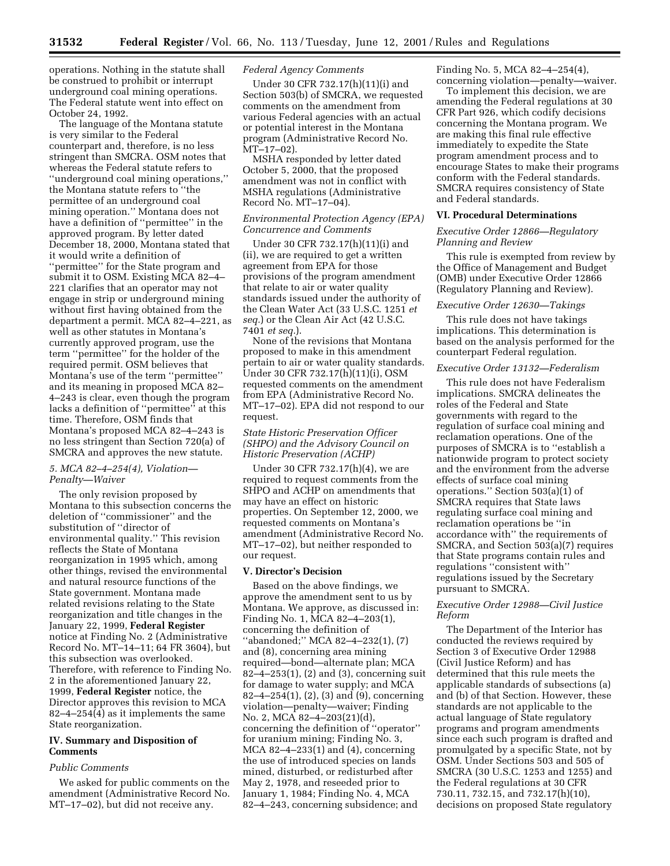operations. Nothing in the statute shall be construed to prohibit or interrupt underground coal mining operations. The Federal statute went into effect on October 24, 1992.

The language of the Montana statute is very similar to the Federal counterpart and, therefore, is no less stringent than SMCRA. OSM notes that whereas the Federal statute refers to ''underground coal mining operations,'' the Montana statute refers to ''the permittee of an underground coal mining operation.'' Montana does not have a definition of ''permittee'' in the approved program. By letter dated December 18, 2000, Montana stated that it would write a definition of ''permittee'' for the State program and submit it to OSM. Existing MCA 82–4– 221 clarifies that an operator may not engage in strip or underground mining without first having obtained from the department a permit. MCA 82–4–221, as well as other statutes in Montana's currently approved program, use the term ''permittee'' for the holder of the required permit. OSM believes that Montana's use of the term ''permittee'' and its meaning in proposed MCA 82– 4–243 is clear, even though the program lacks a definition of ''permittee'' at this time. Therefore, OSM finds that Montana's proposed MCA 82–4–243 is no less stringent than Section 720(a) of SMCRA and approves the new statute.

## *5. MCA 82–4–254(4), Violation— Penalty—Waiver*

The only revision proposed by Montana to this subsection concerns the deletion of ''commissioner'' and the substitution of ''director of environmental quality.'' This revision reflects the State of Montana reorganization in 1995 which, among other things, revised the environmental and natural resource functions of the State government. Montana made related revisions relating to the State reorganization and title changes in the January 22, 1999, **Federal Register** notice at Finding No. 2 (Administrative Record No. MT–14–11; 64 FR 3604), but this subsection was overlooked. Therefore, with reference to Finding No. 2 in the aforementioned January 22, 1999, **Federal Register** notice, the Director approves this revision to MCA 82–4–254(4) as it implements the same State reorganization.

### **IV. Summary and Disposition of Comments**

### *Public Comments*

We asked for public comments on the amendment (Administrative Record No. MT–17–02), but did not receive any.

## *Federal Agency Comments*

Under 30 CFR 732.17(h)(11)(i) and Section 503(b) of SMCRA, we requested comments on the amendment from various Federal agencies with an actual or potential interest in the Montana program (Administrative Record No. MT–17–02).

MSHA responded by letter dated October 5, 2000, that the proposed amendment was not in conflict with MSHA regulations (Administrative Record No. MT–17–04).

### *Environmental Protection Agency (EPA) Concurrence and Comments*

Under 30 CFR 732.17(h)(11)(i) and (ii), we are required to get a written agreement from EPA for those provisions of the program amendment that relate to air or water quality standards issued under the authority of the Clean Water Act (33 U.S.C. 1251 *et seq.*) or the Clean Air Act (42 U.S.C. 7401 *et seq.*).

None of the revisions that Montana proposed to make in this amendment pertain to air or water quality standards. Under 30 CFR 732.17(h)(11)(i), OSM requested comments on the amendment from EPA (Administrative Record No. MT–17–02). EPA did not respond to our request.

*State Historic Preservation Officer (SHPO) and the Advisory Council on Historic Preservation (ACHP)*

Under 30 CFR 732.17(h)(4), we are required to request comments from the SHPO and ACHP on amendments that may have an effect on historic properties. On September 12, 2000, we requested comments on Montana's amendment (Administrative Record No. MT–17–02), but neither responded to our request.

### **V. Director's Decision**

Based on the above findings, we approve the amendment sent to us by Montana. We approve, as discussed in: Finding No. 1, MCA 82–4–203(1), concerning the definition of ''abandoned;'' MCA 82–4–232(1), (7) and (8), concerning area mining required—bond—alternate plan; MCA 82–4–253(1), (2) and (3), concerning suit for damage to water supply; and MCA 82–4–254(1), (2), (3) and (9), concerning violation—penalty—waiver; Finding No. 2, MCA 82–4–203(21)(d), concerning the definition of ''operator'' for uranium mining; Finding No. 3, MCA 82–4–233(1) and (4), concerning the use of introduced species on lands mined, disturbed, or redisturbed after May 2, 1978, and reseeded prior to January 1, 1984; Finding No. 4, MCA 82–4–243, concerning subsidence; and

Finding No. 5, MCA 82–4–254(4), concerning violation—penalty—waiver.

To implement this decision, we are amending the Federal regulations at 30 CFR Part 926, which codify decisions concerning the Montana program. We are making this final rule effective immediately to expedite the State program amendment process and to encourage States to make their programs conform with the Federal standards. SMCRA requires consistency of State and Federal standards.

## **VI. Procedural Determinations**

## *Executive Order 12866—Regulatory Planning and Review*

This rule is exempted from review by the Office of Management and Budget (OMB) under Executive Order 12866 (Regulatory Planning and Review).

## *Executive Order 12630—Takings*

This rule does not have takings implications. This determination is based on the analysis performed for the counterpart Federal regulation.

#### *Executive Order 13132—Federalism*

This rule does not have Federalism implications. SMCRA delineates the roles of the Federal and State governments with regard to the regulation of surface coal mining and reclamation operations. One of the purposes of SMCRA is to ''establish a nationwide program to protect society and the environment from the adverse effects of surface coal mining operations.'' Section 503(a)(1) of SMCRA requires that State laws regulating surface coal mining and reclamation operations be ''in accordance with'' the requirements of SMCRA, and Section 503(a)(7) requires that State programs contain rules and regulations ''consistent with'' regulations issued by the Secretary pursuant to SMCRA.

## *Executive Order 12988—Civil Justice Reform*

The Department of the Interior has conducted the reviews required by Section 3 of Executive Order 12988 (Civil Justice Reform) and has determined that this rule meets the applicable standards of subsections (a) and (b) of that Section. However, these standards are not applicable to the actual language of State regulatory programs and program amendments since each such program is drafted and promulgated by a specific State, not by OSM. Under Sections 503 and 505 of SMCRA (30 U.S.C. 1253 and 1255) and the Federal regulations at 30 CFR 730.11, 732.15, and 732.17(h)(10), decisions on proposed State regulatory